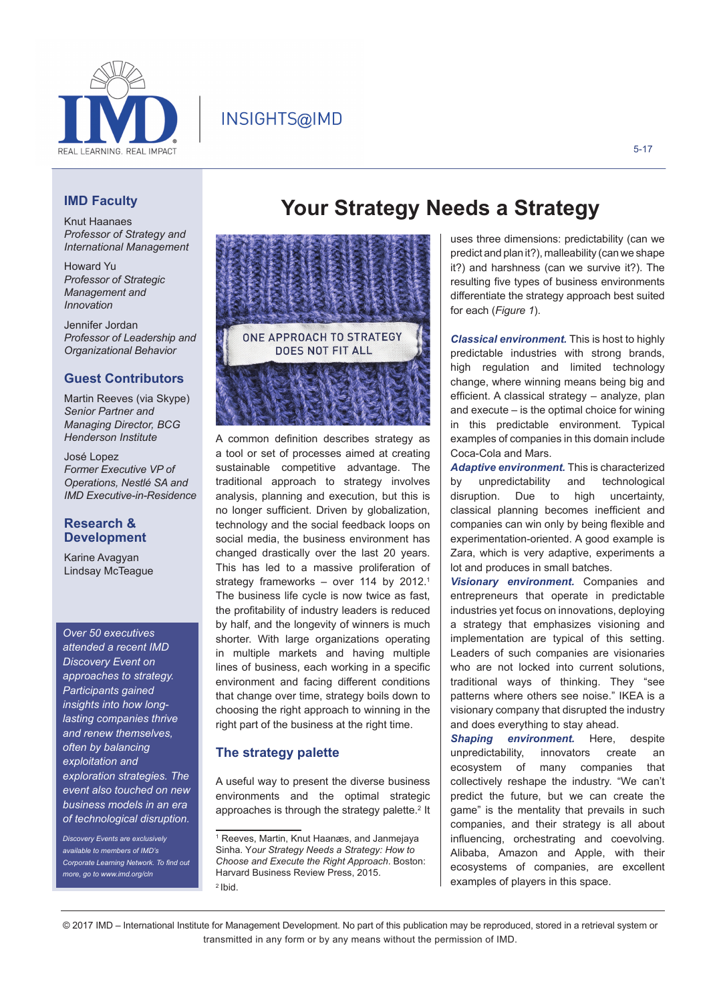

# INSIGHTS@IMD

### 5-17

# **IMD Faculty**

Knut Haanaes *Professor of Strategy and International Management*

Howard Yu *Professor of Strategic Management and Innovation*

Jennifer Jordan *Professor of Leadership and Organizational Behavior*

# **Guest Contributors**

Martin Reeves (via Skype) *Senior Partner and Managing Director, BCG Henderson Institute*

José Lopez *Former Executive VP of Operations, Nestlé SA and IMD Executive-in-Residence*

# **Research & Development**

Karine Avagyan Lindsay McTeague

*Over 50 executives attended a recent IMD Discovery Event on approaches to strategy. Participants gained insights into how longlasting companies thrive and renew themselves, often by balancing exploitation and exploration strategies. The event also touched on new business models in an era of technological disruption.*

*Discovery Events are exclusively available to members of IMD's Corporate Learning Network. To find out more, go to www.imd.org/cln*

# ONF APPROACH TO STRATEGY DOES NOT FIT ALL

A common definition describes strategy as a tool or set of processes aimed at creating sustainable competitive advantage. The traditional approach to strategy involves analysis, planning and execution, but this is no longer sufficient. Driven by globalization, technology and the social feedback loops on social media, the business environment has changed drastically over the last 20 years. This has led to a massive proliferation of strategy frameworks - over 114 by 2012.<sup>1</sup> The business life cycle is now twice as fast, the profitability of industry leaders is reduced by half, and the longevity of winners is much shorter. With large organizations operating in multiple markets and having multiple lines of business, each working in a specific environment and facing different conditions that change over time, strategy boils down to choosing the right approach to winning in the right part of the business at the right time.

# **The strategy palette**

A useful way to present the diverse business environments and the optimal strategic approaches is through the strategy palette. $2$  It

# **Your Strategy Needs a Strategy**

uses three dimensions: predictability (can we predict and plan it?), malleability (can we shape it?) and harshness (can we survive it?). The resulting five types of business environments differentiate the strategy approach best suited for each (*Figure 1*).

*Classical environment.* This is host to highly predictable industries with strong brands, high regulation and limited technology change, where winning means being big and efficient. A classical strategy – analyze, plan and execute – is the optimal choice for wining in this predictable environment. Typical examples of companies in this domain include Coca-Cola and Mars.

*Adaptive environment.* This is characterized by unpredictability and technological disruption. Due to high uncertainty, classical planning becomes inefficient and companies can win only by being flexible and experimentation-oriented. A good example is Zara, which is very adaptive, experiments a lot and produces in small batches.

*Visionary environment.* Companies and entrepreneurs that operate in predictable industries yet focus on innovations, deploying a strategy that emphasizes visioning and implementation are typical of this setting. Leaders of such companies are visionaries who are not locked into current solutions, traditional ways of thinking. They "see patterns where others see noise." IKEA is a visionary company that disrupted the industry and does everything to stay ahead.

*Shaping environment.* Here, despite unpredictability, innovators create an ecosystem of many companies that collectively reshape the industry. "We can't predict the future, but we can create the game" is the mentality that prevails in such companies, and their strategy is all about influencing, orchestrating and coevolving. Alibaba, Amazon and Apple, with their ecosystems of companies, are excellent examples of players in this space.

<sup>1</sup> Reeves, Martin, Knut Haanæs, and Janmejaya Sinha. Y*our Strategy Needs a Strategy: How to Choose and Execute the Right Approach*. Boston: Harvard Business Review Press, 2015. 2 Ibid.

<sup>© 2017</sup> IMD – International Institute for Management Development. No part of this publication may be reproduced, stored in a retrieval system or transmitted in any form or by any means without the permission of IMD.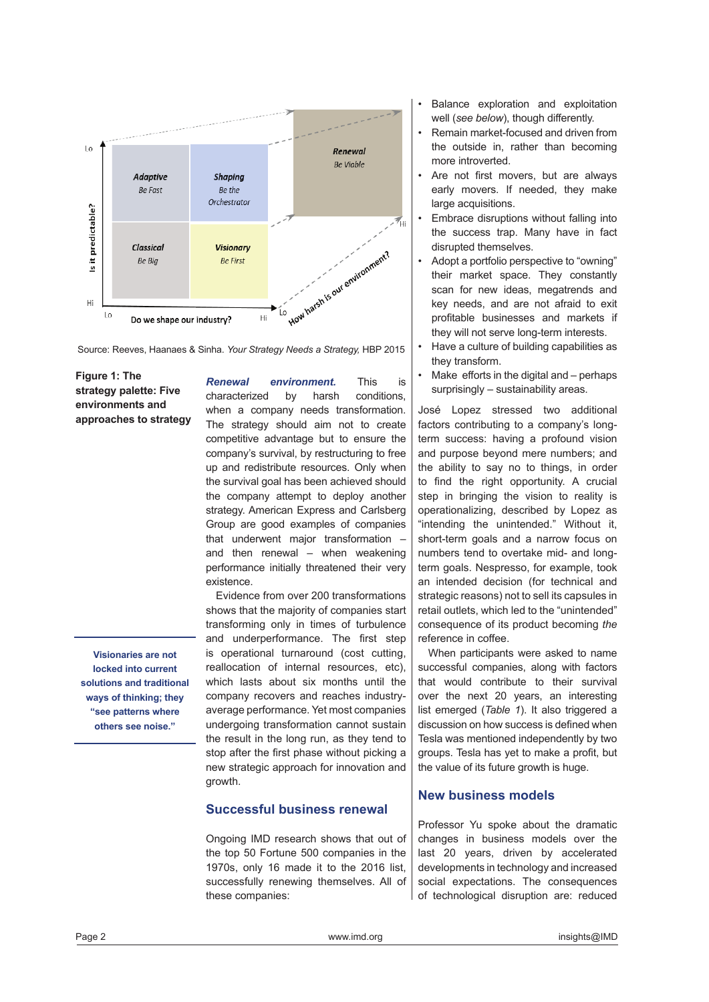

Source: Reeves, Haanaes & Sinha. *Your Strategy Needs a Strategy,* HBP 2015

**Figure 1: The strategy palette: Five environments and approaches to strategy** 

**Visionaries are not locked into current solutions and traditional ways of thinking; they "see patterns where others see noise."** 

*Renewal environment.* This is characterized by harsh conditions, when a company needs transformation. The strategy should aim not to create competitive advantage but to ensure the company's survival, by restructuring to free up and redistribute resources. Only when the survival goal has been achieved should the company attempt to deploy another strategy. American Express and Carlsberg Group are good examples of companies that underwent major transformation – and then renewal – when weakening performance initially threatened their very existence.

Evidence from over 200 transformations shows that the majority of companies start transforming only in times of turbulence and underperformance. The first step is operational turnaround (cost cutting, reallocation of internal resources, etc), which lasts about six months until the company recovers and reaches industryaverage performance. Yet most companies undergoing transformation cannot sustain the result in the long run, as they tend to stop after the first phase without picking a new strategic approach for innovation and growth.

# **Successful business renewal**

Ongoing IMD research shows that out of the top 50 Fortune 500 companies in the 1970s, only 16 made it to the 2016 list, successfully renewing themselves. All of these companies:

- Balance exploration and exploitation well (*see below*), though differently.
- Remain market-focused and driven from the outside in, rather than becoming more introverted.
- Are not first movers, but are always early movers. If needed, they make large acquisitions.
- Embrace disruptions without falling into the success trap. Many have in fact disrupted themselves.
- Adopt a portfolio perspective to "owning" their market space. They constantly scan for new ideas, megatrends and key needs, and are not afraid to exit profitable businesses and markets if they will not serve long-term interests.
- Have a culture of building capabilities as they transform.
- Make efforts in the digital and perhaps surprisingly – sustainability areas.

José Lopez stressed two additional factors contributing to a company's longterm success: having a profound vision and purpose beyond mere numbers; and the ability to say no to things, in order to find the right opportunity. A crucial step in bringing the vision to reality is operationalizing, described by Lopez as "intending the unintended." Without it, short-term goals and a narrow focus on numbers tend to overtake mid- and longterm goals. Nespresso, for example, took an intended decision (for technical and strategic reasons) not to sell its capsules in retail outlets, which led to the "unintended" consequence of its product becoming *the* reference in coffee.

When participants were asked to name successful companies, along with factors that would contribute to their survival over the next 20 years, an interesting list emerged (*Table 1*). It also triggered a discussion on how success is defined when Tesla was mentioned independently by two groups. Tesla has yet to make a profit, but the value of its future growth is huge.

# **New business models**

Professor Yu spoke about the dramatic changes in business models over the last 20 years, driven by accelerated developments in technology and increased social expectations. The consequences of technological disruption are: reduced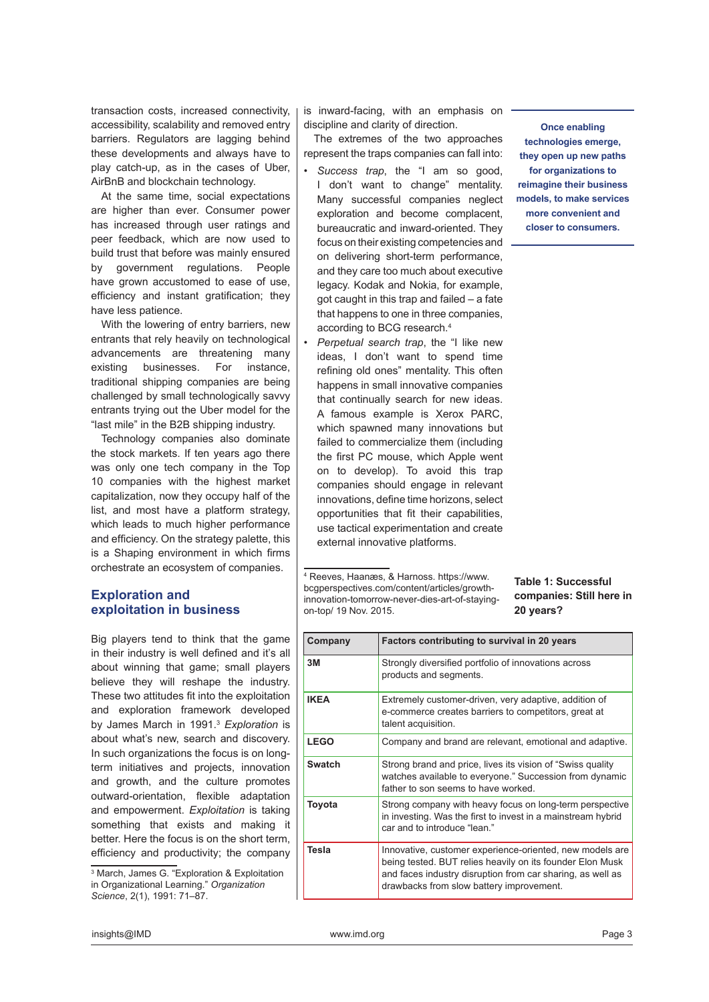transaction costs, increased connectivity, accessibility, scalability and removed entry barriers. Regulators are lagging behind these developments and always have to play catch-up, as in the cases of Uber, AirBnB and blockchain technology.

At the same time, social expectations are higher than ever. Consumer power has increased through user ratings and peer feedback, which are now used to build trust that before was mainly ensured by government regulations. People have grown accustomed to ease of use, efficiency and instant gratification; they have less patience.

With the lowering of entry barriers, new entrants that rely heavily on technological advancements are threatening many existing businesses. For instance, traditional shipping companies are being challenged by small technologically savvy entrants trying out the Uber model for the "last mile" in the B2B shipping industry.

Technology companies also dominate the stock markets. If ten years ago there was only one tech company in the Top 10 companies with the highest market capitalization, now they occupy half of the list, and most have a platform strategy, which leads to much higher performance and efficiency. On the strategy palette, this is a Shaping environment in which firms orchestrate an ecosystem of companies.

# **Exploration and exploitation in business**

Big players tend to think that the game in their industry is well defined and it's all about winning that game; small players believe they will reshape the industry. These two attitudes fit into the exploitation and exploration framework developed by James March in 1991.<sup>3</sup> *Exploration* is about what's new, search and discovery. In such organizations the focus is on longterm initiatives and projects, innovation and growth, and the culture promotes outward-orientation, flexible adaptation and empowerment. *Exploitation* is taking something that exists and making it better. Here the focus is on the short term, efficiency and productivity; the company

3 March, James G. "Exploration & Exploitation in Organizational Learning." *Organization Science*, 2(1), 1991: 71–87.

is inward-facing, with an emphasis on discipline and clarity of direction.

The extremes of the two approaches represent the traps companies can fall into:

*• Success trap*, the "I am so good, I don't want to change" mentality. Many successful companies neglect exploration and become complacent, bureaucratic and inward-oriented. They focus on their existing competencies and on delivering short-term performance, and they care too much about executive legacy. Kodak and Nokia, for example, got caught in this trap and failed – a fate that happens to one in three companies, according to BCG research.<sup>4</sup>

*• Perpetual search trap*, the "I like new ideas, I don't want to spend time refining old ones" mentality. This often happens in small innovative companies that continually search for new ideas. A famous example is Xerox PARC, which spawned many innovations but failed to commercialize them (including the first PC mouse, which Apple went on to develop). To avoid this trap companies should engage in relevant innovations, define time horizons, select opportunities that fit their capabilities, use tactical experimentation and create external innovative platforms.

4 Reeves, Haanæs, & Harnoss. https://www. bcgperspectives.com/content/articles/growthinnovation-tomorrow-never-dies-art-of-stayingon-top/ 19 Nov. 2015.

**technologies emerge, they open up new paths for organizations to reimagine their business models, to make services more convenient and closer to consumers.**

**Once enabling** 

# **Table 1: Successful companies: Still here in 20 years?**

| Company       | Factors contributing to survival in 20 years                                                                                                                                                                                    |
|---------------|---------------------------------------------------------------------------------------------------------------------------------------------------------------------------------------------------------------------------------|
| 3M            | Strongly diversified portfolio of innovations across<br>products and segments.                                                                                                                                                  |
| <b>IKEA</b>   | Extremely customer-driven, very adaptive, addition of<br>e-commerce creates barriers to competitors, great at<br>talent acquisition.                                                                                            |
| <b>LEGO</b>   | Company and brand are relevant, emotional and adaptive.                                                                                                                                                                         |
| <b>Swatch</b> | Strong brand and price, lives its vision of "Swiss quality"<br>watches available to everyone." Succession from dynamic<br>father to son seems to have worked.                                                                   |
| Toyota        | Strong company with heavy focus on long-term perspective<br>in investing. Was the first to invest in a mainstream hybrid<br>car and to introduce "lean."                                                                        |
| Tesla         | Innovative, customer experience-oriented, new models are<br>being tested. BUT relies heavily on its founder Elon Musk<br>and faces industry disruption from car sharing, as well as<br>drawbacks from slow battery improvement. |